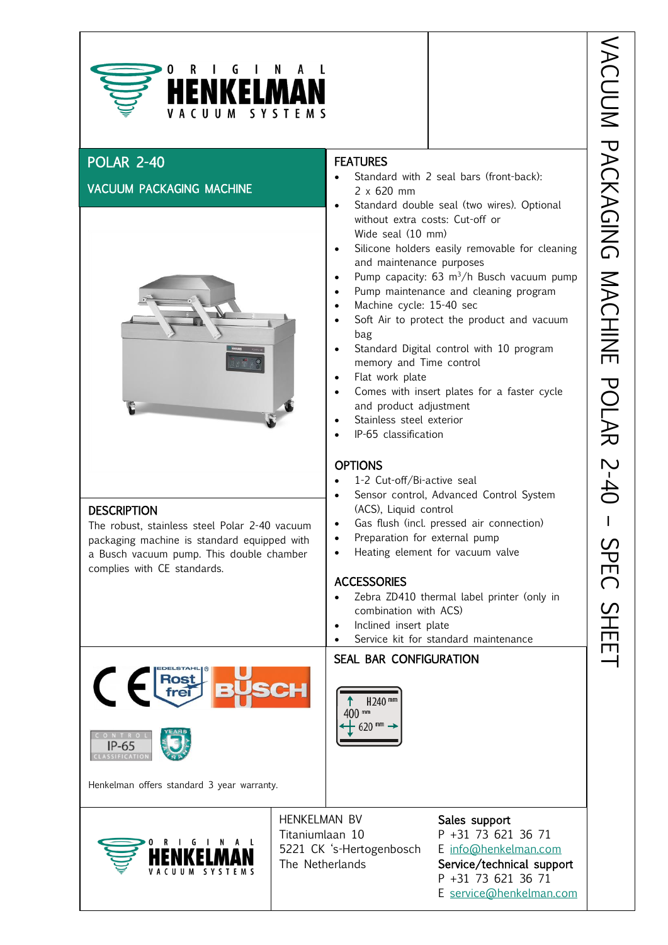

### POLAR 2-40

**DESCRIPTION** 

complies with CE standards.

#### VACUUM PACKAGING MACHINE



The robust, stainless steel Polar 2-40 vacuum packaging machine is standard equipped with a Busch vacuum pump. This double chamber

## **FEATURES**

- Standard with 2 seal bars (front-back): 2 x 620 mm
- Standard double seal (two wires). Optional without extra costs: Cut-off or Wide seal (10 mm)
- $\frac{1}{\sqrt{2}}$ Silicone holders easily removable for cleaning and maintenance purposes
- Pump capacity:  $63 \text{ m}^3/h$  Busch vacuum pump
- Pump maintenance and cleaning program
- Machine cycle: 15-40 sec
- Soft Air to protect the product and vacuum bag
- Standard Digital control with 10 program memory and Time control
- Flat work plate
- Comes with insert plates for a faster cycle and product adjustment
- Stainless steel exterior
- IP-65 classification

#### **OPTIONS**

- 1-2 Cut-off/Bi-active seal
- Sensor control, Advanced Control System (ACS), Liquid control
- Gas flush (incl. pressed air connection)
- Preparation for external pump
- Heating element for vacuum valve

#### **ACCESSORIES**

- Zebra ZD410 thermal label printer (only in combination with ACS)
- Inclined insert plate
- Service kit for standard maintenance



ŀ ŀ 400 mm  $\pm$  620 mm



Henkelman offers standard 3 year warranty.



HENKELMAN BV Sales support Titaniumlaan 10 P +31 73 621 36 71 5221 CK 's-Hertogenbosch E [info@henkelman.com](mailto:info@henkelman.com) The Netherlands Service/technical support

P +31 73 621 36 71 E [service@henkelman.com](mailto:service@henkelman.com)